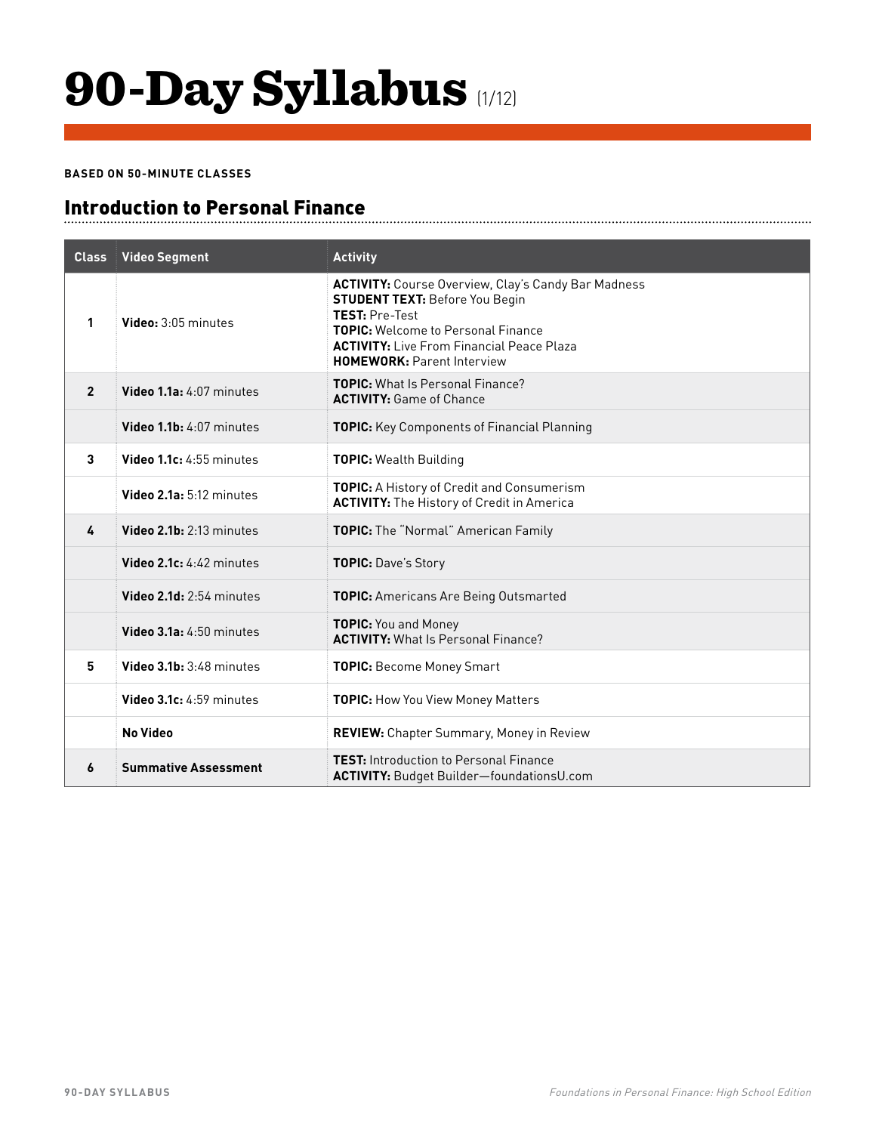### 90-Day Syllabus (1/12)

#### **BASED ON 50-MINUTE CLASSES**

### Introduction to Personal Finance

| <b>Class</b>   | <b>Video Segment</b>        | <b>Activity</b>                                                                                                                                                                                                                                                    |
|----------------|-----------------------------|--------------------------------------------------------------------------------------------------------------------------------------------------------------------------------------------------------------------------------------------------------------------|
| 1              | Video: 3:05 minutes         | <b>ACTIVITY:</b> Course Overview, Clay's Candy Bar Madness<br><b>STUDENT TEXT: Before You Begin</b><br><b>TEST: Pre-Test</b><br><b>TOPIC:</b> Welcome to Personal Finance<br><b>ACTIVITY:</b> Live From Financial Peace Plaza<br><b>HOMEWORK: Parent Interview</b> |
| $\overline{2}$ | Video 1.1a: 4:07 minutes    | <b>TOPIC:</b> What Is Personal Finance?<br><b>ACTIVITY: Game of Chance</b>                                                                                                                                                                                         |
|                | Video 1.1b: 4:07 minutes    | <b>TOPIC:</b> Key Components of Financial Planning                                                                                                                                                                                                                 |
| 3              | Video 1.1c: 4:55 minutes    | <b>TOPIC:</b> Wealth Building                                                                                                                                                                                                                                      |
|                | Video 2.1a: 5:12 minutes    | <b>TOPIC:</b> A History of Credit and Consumerism<br><b>ACTIVITY:</b> The History of Credit in America                                                                                                                                                             |
| 4              | Video 2.1b: 2:13 minutes    | TOPIC: The "Normal" American Family                                                                                                                                                                                                                                |
|                | Video $2.1c: 4:42$ minutes  | TOPIC: Dave's Story                                                                                                                                                                                                                                                |
|                | Video 2.1d: 2:54 minutes    | <b>TOPIC:</b> Americans Are Being Outsmarted                                                                                                                                                                                                                       |
|                | Video 3.1a: 4:50 minutes    | <b>TOPIC:</b> You and Money<br><b>ACTIVITY:</b> What Is Personal Finance?                                                                                                                                                                                          |
| 5              | Video 3.1b: 3:48 minutes    | <b>TOPIC: Become Money Smart</b>                                                                                                                                                                                                                                   |
|                | Video 3.1c: 4:59 minutes    | <b>TOPIC:</b> How You View Money Matters                                                                                                                                                                                                                           |
|                | <b>No Video</b>             | <b>REVIEW:</b> Chapter Summary, Money in Review                                                                                                                                                                                                                    |
| 6              | <b>Summative Assessment</b> | <b>TEST:</b> Introduction to Personal Finance<br><b>ACTIVITY: Budget Builder-foundationsU.com</b>                                                                                                                                                                  |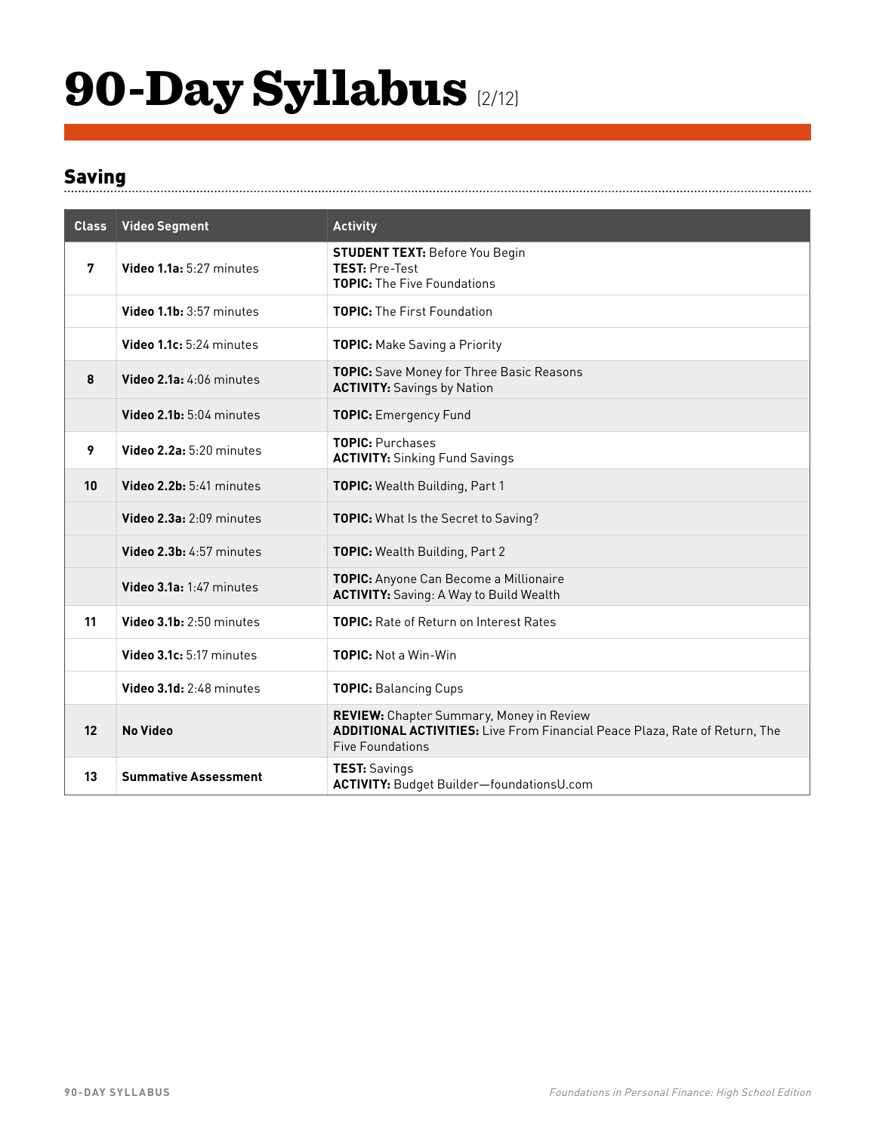## 90-Day Syllabus (2/12)

#### Saving

| <b>Class</b> | <b>Video Segment</b>        | <b>Activity</b>                                                                                                                                                  |
|--------------|-----------------------------|------------------------------------------------------------------------------------------------------------------------------------------------------------------|
| 7            | Video 1.1a: 5:27 minutes    | <b>STUDENT TEXT: Before You Begin</b><br><b>TEST: Pre-Test</b><br><b>TOPIC:</b> The Five Foundations                                                             |
|              | Video 1.1b: 3:57 minutes    | TOPIC: The First Foundation                                                                                                                                      |
|              | Video 1.1c: 5:24 minutes    | <b>TOPIC:</b> Make Saving a Priority                                                                                                                             |
| 8            | Video 2.1a: 4:06 minutes    | <b>TOPIC:</b> Save Money for Three Basic Reasons<br><b>ACTIVITY:</b> Savings by Nation                                                                           |
|              | Video 2.1b: 5:04 minutes    | <b>TOPIC:</b> Emergency Fund                                                                                                                                     |
| 9            | Video 2.2a: 5:20 minutes    | <b>TOPIC: Purchases</b><br><b>ACTIVITY: Sinking Fund Savings</b>                                                                                                 |
| 10           | Video 2.2b: 5:41 minutes    | TOPIC: Wealth Building, Part 1                                                                                                                                   |
|              | Video 2.3a: 2:09 minutes    | TOPIC: What Is the Secret to Saving?                                                                                                                             |
|              | Video 2.3b: 4:57 minutes    | <b>TOPIC:</b> Wealth Building, Part 2                                                                                                                            |
|              | Video 3.1a: 1:47 minutes    | TOPIC: Anyone Can Become a Millionaire<br><b>ACTIVITY:</b> Saving: A Way to Build Wealth                                                                         |
| 11           | Video 3.1b: 2:50 minutes    | <b>TOPIC:</b> Rate of Return on Interest Rates                                                                                                                   |
|              | Video 3.1c: 5:17 minutes    | <b>TOPIC:</b> Not a Win-Win                                                                                                                                      |
|              | Video 3.1d: 2:48 minutes    | <b>TOPIC: Balancing Cups</b>                                                                                                                                     |
| 12           | <b>No Video</b>             | <b>REVIEW:</b> Chapter Summary, Money in Review<br><b>ADDITIONAL ACTIVITIES:</b> Live From Financial Peace Plaza, Rate of Return, The<br><b>Five Foundations</b> |
| 13           | <b>Summative Assessment</b> | <b>TEST: Savings</b><br>ACTIVITY: Budget Builder-foundationsU.com                                                                                                |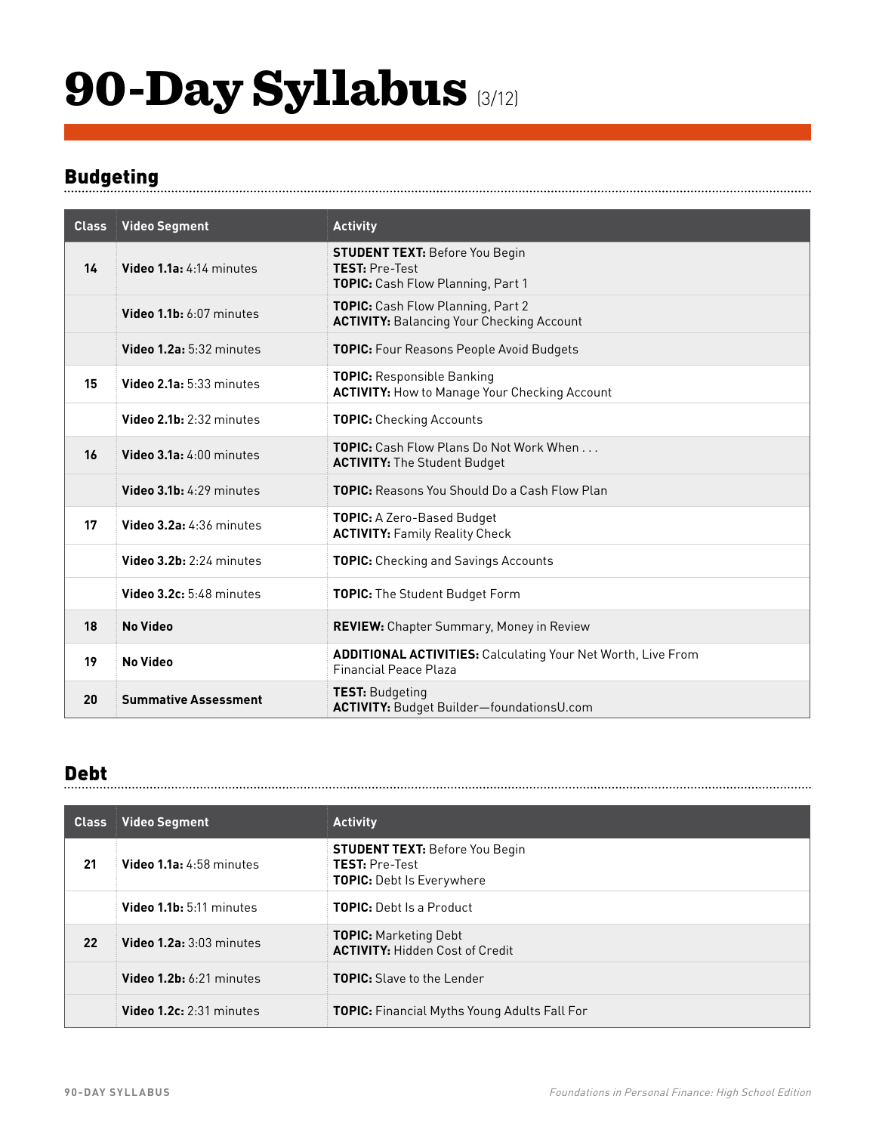## 90-Day Syllabus (3/12)

### **Budgeting**

| <b>Class</b> | <b>Video Segment</b>        | <b>Activity</b>                                                                                     |
|--------------|-----------------------------|-----------------------------------------------------------------------------------------------------|
| 14           | Video 1.1a: 4:14 minutes    | <b>STUDENT TEXT: Before You Begin</b><br><b>TEST: Pre-Test</b><br>TOPIC: Cash Flow Planning, Part 1 |
|              | Video 1.1b: 6:07 minutes    | TOPIC: Cash Flow Planning, Part 2<br><b>ACTIVITY: Balancing Your Checking Account</b>               |
|              | Video 1.2a: 5:32 minutes    | <b>TOPIC:</b> Four Reasons People Avoid Budgets                                                     |
| 15           | Video 2.1a: 5:33 minutes    | <b>TOPIC:</b> Responsible Banking<br><b>ACTIVITY: How to Manage Your Checking Account</b>           |
|              | Video 2.1b: 2:32 minutes    | <b>TOPIC: Checking Accounts</b>                                                                     |
| 16           | Video 3.1a: 4:00 minutes    | <b>TOPIC:</b> Cash Flow Plans Do Not Work When<br><b>ACTIVITY:</b> The Student Budget               |
|              | Video 3.1b: 4:29 minutes    | <b>TOPIC:</b> Reasons You Should Do a Cash Flow Plan                                                |
| 17           | Video 3.2a: 4:36 minutes    | <b>TOPIC:</b> A Zero-Based Budget<br><b>ACTIVITY: Family Reality Check</b>                          |
|              | Video 3.2b: 2:24 minutes    | <b>TOPIC:</b> Checking and Savings Accounts                                                         |
|              | Video 3.2c: 5:48 minutes    | <b>TOPIC:</b> The Student Budget Form                                                               |
| 18           | <b>No Video</b>             | <b>REVIEW:</b> Chapter Summary, Money in Review                                                     |
| 19           | <b>No Video</b>             | <b>ADDITIONAL ACTIVITIES: Calculating Your Net Worth, Live From</b><br><b>Financial Peace Plaza</b> |
| 20           | <b>Summative Assessment</b> | <b>TEST: Budgeting</b><br>ACTIVITY: Budget Builder-foundationsU.com                                 |

#### Debt

| <b>Class</b> | <b>Video Segment</b>       | <b>Activity</b>                                                                                    |
|--------------|----------------------------|----------------------------------------------------------------------------------------------------|
| 21           | Video 1.1a: 4:58 minutes   | <b>STUDENT TEXT: Before You Begin</b><br><b>TEST: Pre-Test</b><br><b>TOPIC:</b> Debt Is Everywhere |
|              | Video 1.1b: 5:11 minutes   | <b>TOPIC:</b> Debt Is a Product                                                                    |
| 22           | Video 1.2a: 3:03 minutes   | <b>TOPIC:</b> Marketing Debt<br><b>ACTIVITY: Hidden Cost of Credit</b>                             |
|              | Video $1.2b: 6:21$ minutes | <b>TOPIC:</b> Slave to the Lender                                                                  |
|              | Video 1.2c: 2:31 minutes   | <b>TOPIC:</b> Financial Myths Young Adults Fall For                                                |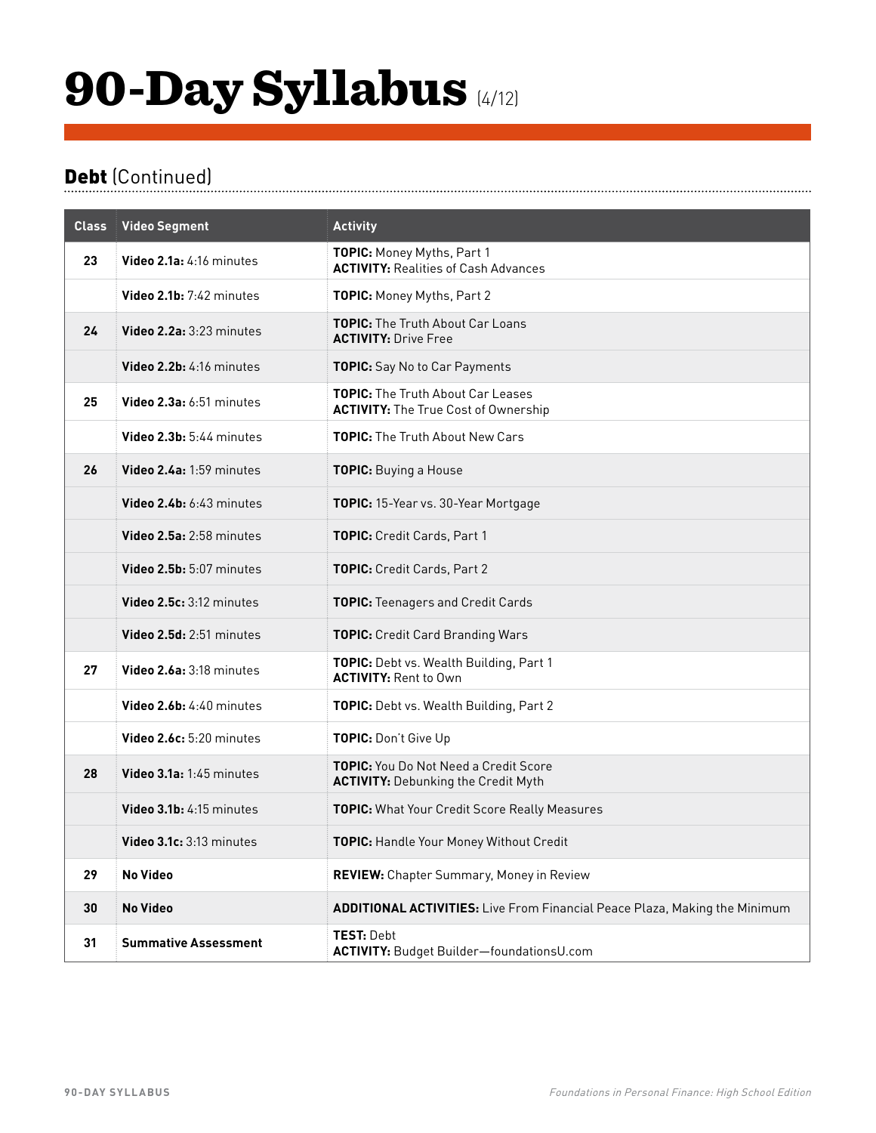## 90-Day Syllabus (4/12)

### Debt (Continued)

| <b>Class</b> | <b>Video Segment</b>        | <b>Activity</b>                                                                            |
|--------------|-----------------------------|--------------------------------------------------------------------------------------------|
| 23           | Video 2.1a: 4:16 minutes    | TOPIC: Money Myths, Part 1<br><b>ACTIVITY: Realities of Cash Advances</b>                  |
|              | Video $2.1b: 7:42$ minutes  | TOPIC: Money Myths, Part 2                                                                 |
| 24           | Video 2.2a: 3:23 minutes    | <b>TOPIC:</b> The Truth About Car Loans<br><b>ACTIVITY: Drive Free</b>                     |
|              | Video 2.2b: 4:16 minutes    | TOPIC: Say No to Car Payments                                                              |
| 25           | Video 2.3a: 6:51 minutes    | <b>TOPIC:</b> The Truth About Car Leases<br><b>ACTIVITY:</b> The True Cost of Ownership    |
|              | Video 2.3b: 5:44 minutes    | <b>TOPIC:</b> The Truth About New Cars                                                     |
| 26           | Video 2.4a: 1:59 minutes    | <b>TOPIC:</b> Buying a House                                                               |
|              | Video 2.4b: 6:43 minutes    | TOPIC: 15-Year vs. 30-Year Mortgage                                                        |
|              | Video 2.5a: 2:58 minutes    | TOPIC: Credit Cards, Part 1                                                                |
|              | Video 2.5b: 5:07 minutes    | TOPIC: Credit Cards, Part 2                                                                |
|              | Video 2.5c: 3:12 minutes    | <b>TOPIC:</b> Teenagers and Credit Cards                                                   |
|              | Video 2.5d: 2:51 minutes    | <b>TOPIC:</b> Credit Card Branding Wars                                                    |
| 27           | Video 2.6a: 3:18 minutes    | TOPIC: Debt vs. Wealth Building, Part 1<br><b>ACTIVITY: Rent to Own</b>                    |
|              | Video 2.6b: 4:40 minutes    | TOPIC: Debt vs. Wealth Building, Part 2                                                    |
|              | Video 2.6c: 5:20 minutes    | TOPIC: Don't Give Up                                                                       |
| 28           | Video 3.1a: 1:45 minutes    | <b>TOPIC:</b> You Do Not Need a Credit Score<br><b>ACTIVITY: Debunking the Credit Myth</b> |
|              | Video 3.1b: 4:15 minutes    | <b>TOPIC:</b> What Your Credit Score Really Measures                                       |
|              | Video 3.1c: 3:13 minutes    | <b>TOPIC:</b> Handle Your Money Without Credit                                             |
| 29           | No Video                    | <b>REVIEW:</b> Chapter Summary, Money in Review                                            |
| 30           | No Video                    | <b>ADDITIONAL ACTIVITIES:</b> Live From Financial Peace Plaza, Making the Minimum          |
| 31           | <b>Summative Assessment</b> | <b>TEST: Debt</b><br>ACTIVITY: Budget Builder-foundationsU.com                             |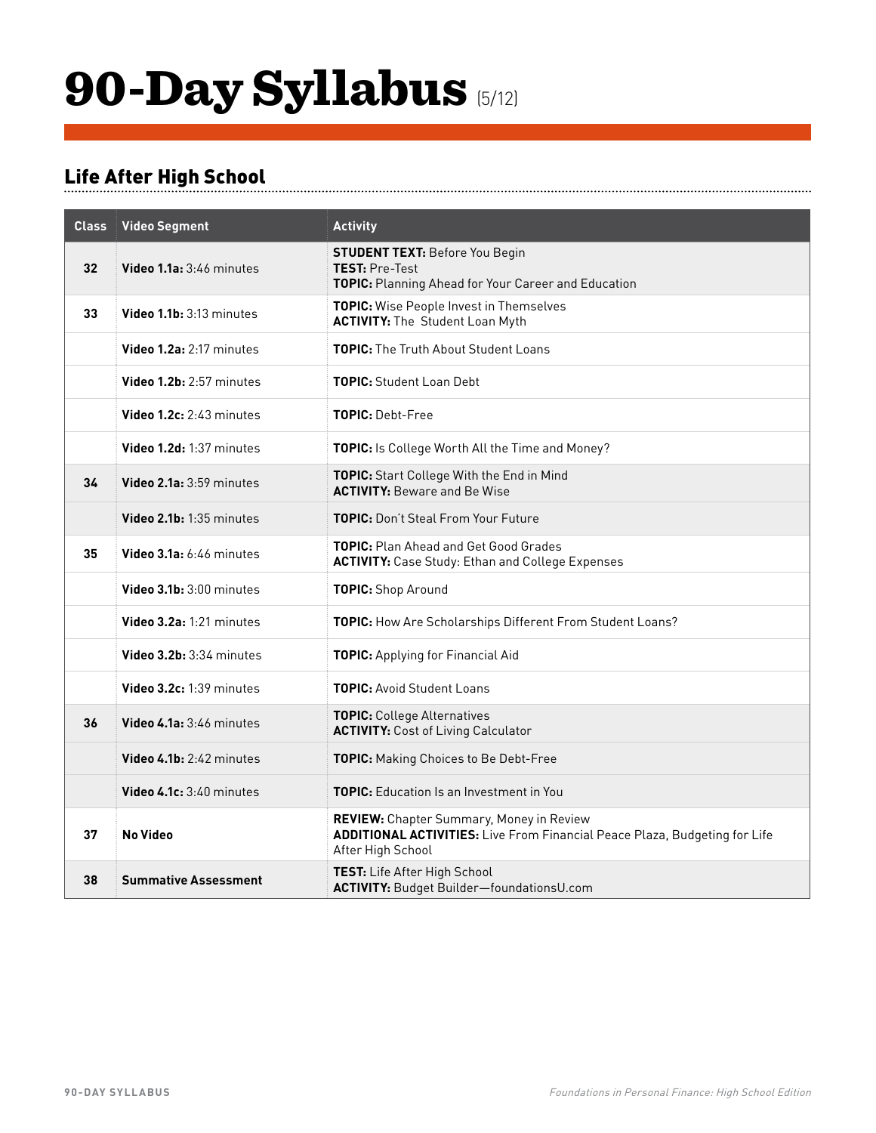## 90-Day Syllabus (5/12)

### Life After High School

| <b>Class</b> | <b>Video Segment</b>        | <b>Activity</b>                                                                                                                                           |
|--------------|-----------------------------|-----------------------------------------------------------------------------------------------------------------------------------------------------------|
| 32           | Video 1.1a: 3:46 minutes    | <b>STUDENT TEXT: Before You Begin</b><br><b>TEST: Pre-Test</b><br><b>TOPIC:</b> Planning Ahead for Your Career and Education                              |
| 33           | Video 1.1b: 3:13 minutes    | <b>TOPIC:</b> Wise People Invest in Themselves<br><b>ACTIVITY:</b> The Student Loan Myth                                                                  |
|              | Video 1.2a: 2:17 minutes    | <b>TOPIC:</b> The Truth About Student Loans                                                                                                               |
|              | Video 1.2b: 2:57 minutes    | <b>TOPIC:</b> Student Loan Debt                                                                                                                           |
|              | Video 1.2c: 2:43 minutes    | <b>TOPIC: Debt-Free</b>                                                                                                                                   |
|              | Video 1.2d: 1:37 minutes    | TOPIC: Is College Worth All the Time and Money?                                                                                                           |
| 34           | Video 2.1a: 3:59 minutes    | TOPIC: Start College With the End in Mind<br><b>ACTIVITY: Beware and Be Wise</b>                                                                          |
|              | Video 2.1b: 1:35 minutes    | TOPIC: Don't Steal From Your Future                                                                                                                       |
| 35           | Video $3.1a: 6:46$ minutes  | <b>TOPIC:</b> Plan Ahead and Get Good Grades<br><b>ACTIVITY:</b> Case Study: Ethan and College Expenses                                                   |
|              | Video 3.1b: 3:00 minutes    | <b>TOPIC:</b> Shop Around                                                                                                                                 |
|              | Video 3.2a: 1:21 minutes    | TOPIC: How Are Scholarships Different From Student Loans?                                                                                                 |
|              | Video 3.2b: 3:34 minutes    | <b>TOPIC:</b> Applying for Financial Aid                                                                                                                  |
|              | Video 3.2c: 1:39 minutes    | <b>TOPIC:</b> Avoid Student Loans                                                                                                                         |
| 36           | Video 4.1a: 3:46 minutes    | <b>TOPIC:</b> College Alternatives<br><b>ACTIVITY: Cost of Living Calculator</b>                                                                          |
|              | Video 4.1b: 2:42 minutes    | <b>TOPIC:</b> Making Choices to Be Debt-Free                                                                                                              |
|              | Video $4.1c: 3:40$ minutes  | <b>TOPIC:</b> Education Is an Investment in You                                                                                                           |
| 37           | No Video                    | <b>REVIEW:</b> Chapter Summary, Money in Review<br><b>ADDITIONAL ACTIVITIES:</b> Live From Financial Peace Plaza, Budgeting for Life<br>After High School |
| 38           | <b>Summative Assessment</b> | TEST: Life After High School<br>ACTIVITY: Budget Builder-foundationsU.com                                                                                 |

................................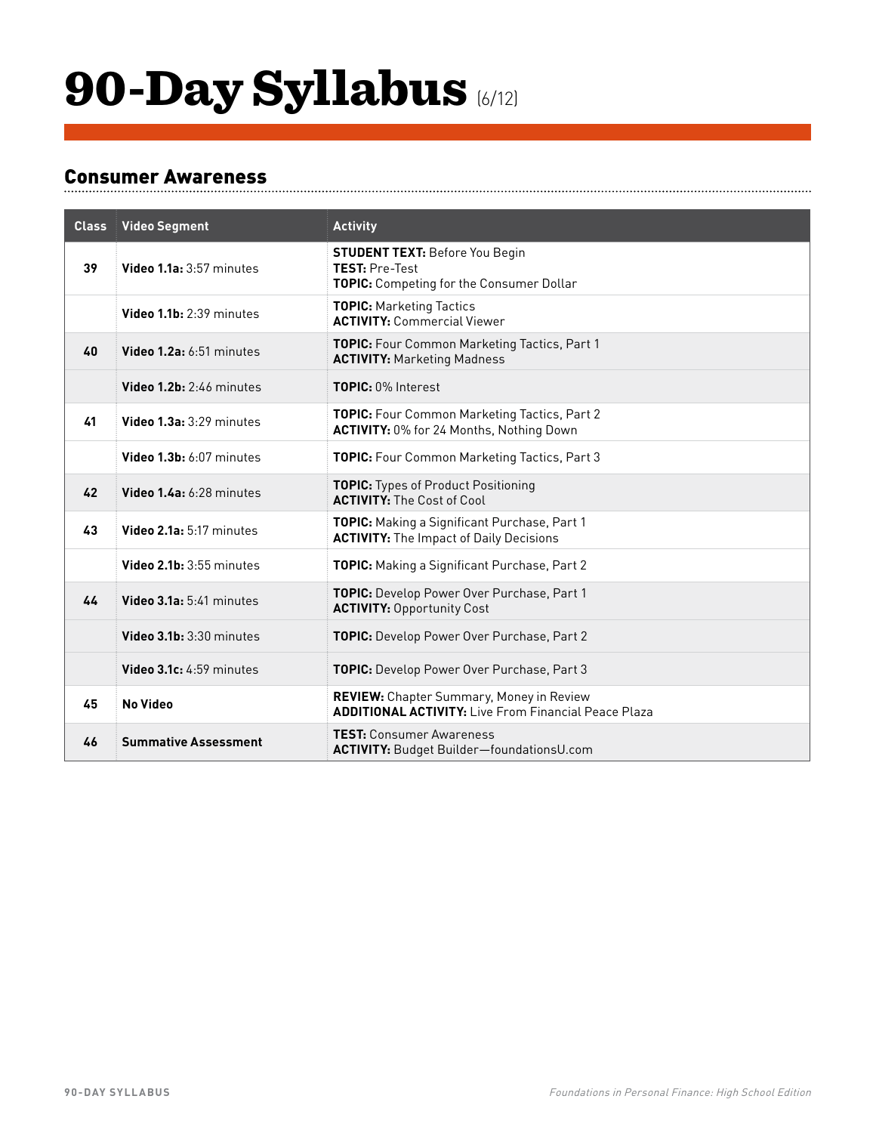## 90-Day Syllabus (6/12)

#### Consumer Awareness

| <b>Class</b> | <b>Video Segment</b>        | <b>Activity</b>                                                                                                |
|--------------|-----------------------------|----------------------------------------------------------------------------------------------------------------|
| 39           | Video 1.1a: 3:57 minutes    | <b>STUDENT TEXT: Before You Begin</b><br><b>TEST: Pre-Test</b><br>TOPIC: Competing for the Consumer Dollar     |
|              | Video 1.1b: 2:39 minutes    | <b>TOPIC: Marketing Tactics</b><br><b>ACTIVITY: Commercial Viewer</b>                                          |
| 40           | Video 1.2a: 6:51 minutes    | TOPIC: Four Common Marketing Tactics, Part 1<br><b>ACTIVITY: Marketing Madness</b>                             |
|              | Video 1.2b: 2:46 minutes    | TOPIC: 0% Interest                                                                                             |
| 41           | Video 1.3a: 3:29 minutes    | TOPIC: Four Common Marketing Tactics, Part 2<br>ACTIVITY: 0% for 24 Months, Nothing Down                       |
|              | Video 1.3b: 6:07 minutes    | TOPIC: Four Common Marketing Tactics, Part 3                                                                   |
| 42           | Video 1.4a: 6:28 minutes    | <b>TOPIC:</b> Types of Product Positioning<br><b>ACTIVITY:</b> The Cost of Cool                                |
| 43           | Video 2.1a: 5:17 minutes    | TOPIC: Making a Significant Purchase, Part 1<br><b>ACTIVITY: The Impact of Daily Decisions</b>                 |
|              | Video 2.1b: 3:55 minutes    | TOPIC: Making a Significant Purchase, Part 2                                                                   |
| 44           | Video 3.1a: 5:41 minutes    | TOPIC: Develop Power Over Purchase, Part 1<br><b>ACTIVITY: Opportunity Cost</b>                                |
|              | Video 3.1b: 3:30 minutes    | TOPIC: Develop Power Over Purchase, Part 2                                                                     |
|              | Video 3.1c: 4:59 minutes    | TOPIC: Develop Power Over Purchase, Part 3                                                                     |
| 45           | <b>No Video</b>             | <b>REVIEW:</b> Chapter Summary, Money in Review<br><b>ADDITIONAL ACTIVITY: Live From Financial Peace Plaza</b> |
| 46           | <b>Summative Assessment</b> | <b>TEST: Consumer Awareness</b><br><b>ACTIVITY: Budget Builder-foundationsU.com</b>                            |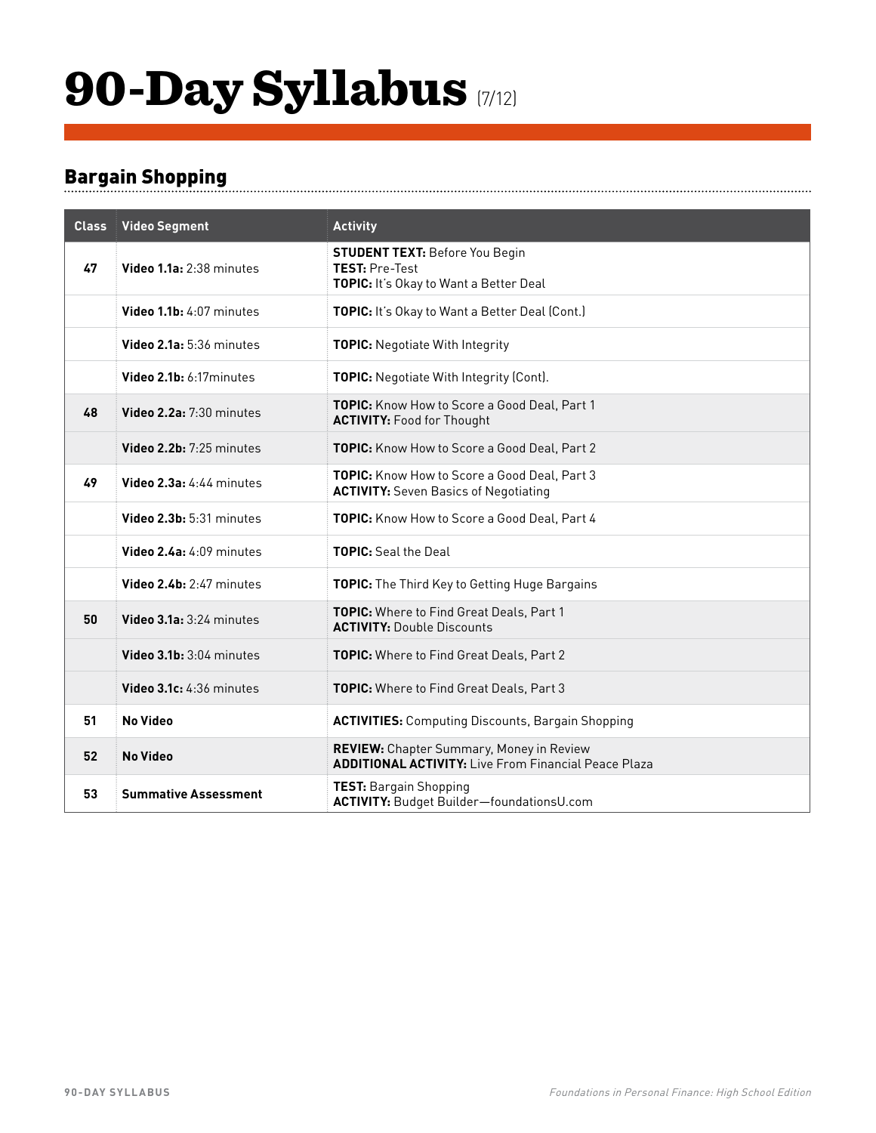## 90-Day Syllabus (7/12)

### Bargain Shopping

| <b>Class</b> | <b>Video Segment</b>        | <b>Activity</b>                                                                                          |
|--------------|-----------------------------|----------------------------------------------------------------------------------------------------------|
| 47           | Video 1.1a: 2:38 minutes    | <b>STUDENT TEXT: Before You Begin</b><br><b>TEST: Pre-Test</b><br>TOPIC: It's Okay to Want a Better Deal |
|              | Video 1.1b: 4:07 minutes    | TOPIC: It's Okay to Want a Better Deal (Cont.)                                                           |
|              | Video 2.1a: 5:36 minutes    | TOPIC: Negotiate With Integrity                                                                          |
|              | Video 2.1b: 6:17minutes     | TOPIC: Negotiate With Integrity (Cont).                                                                  |
| 48           | Video 2.2a: 7:30 minutes    | TOPIC: Know How to Score a Good Deal, Part 1<br><b>ACTIVITY: Food for Thought</b>                        |
|              | Video 2.2b: 7:25 minutes    | TOPIC: Know How to Score a Good Deal, Part 2                                                             |
| 49           | Video 2.3a: 4:44 minutes    | <b>TOPIC:</b> Know How to Score a Good Deal, Part 3<br><b>ACTIVITY:</b> Seven Basics of Negotiating      |
|              | Video 2.3b: 5:31 minutes    | TOPIC: Know How to Score a Good Deal, Part 4                                                             |
|              | Video 2.4a: 4:09 minutes    | <b>TOPIC:</b> Seal the Deal                                                                              |
|              | Video 2.4b: 2:47 minutes    | <b>TOPIC:</b> The Third Key to Getting Huge Bargains                                                     |
| 50           | Video 3.1a: 3:24 minutes    | TOPIC: Where to Find Great Deals, Part 1<br><b>ACTIVITY: Double Discounts</b>                            |
|              | Video 3.1b: 3:04 minutes    | <b>TOPIC:</b> Where to Find Great Deals, Part 2                                                          |
|              | Video 3.1c: 4:36 minutes    | TOPIC: Where to Find Great Deals, Part 3                                                                 |
| 51           | <b>No Video</b>             | <b>ACTIVITIES:</b> Computing Discounts, Bargain Shopping                                                 |
| 52           | <b>No Video</b>             | REVIEW: Chapter Summary, Money in Review<br><b>ADDITIONAL ACTIVITY: Live From Financial Peace Plaza</b>  |
| 53           | <b>Summative Assessment</b> | <b>TEST: Bargain Shopping</b><br>ACTIVITY: Budget Builder-foundationsU.com                               |

.................................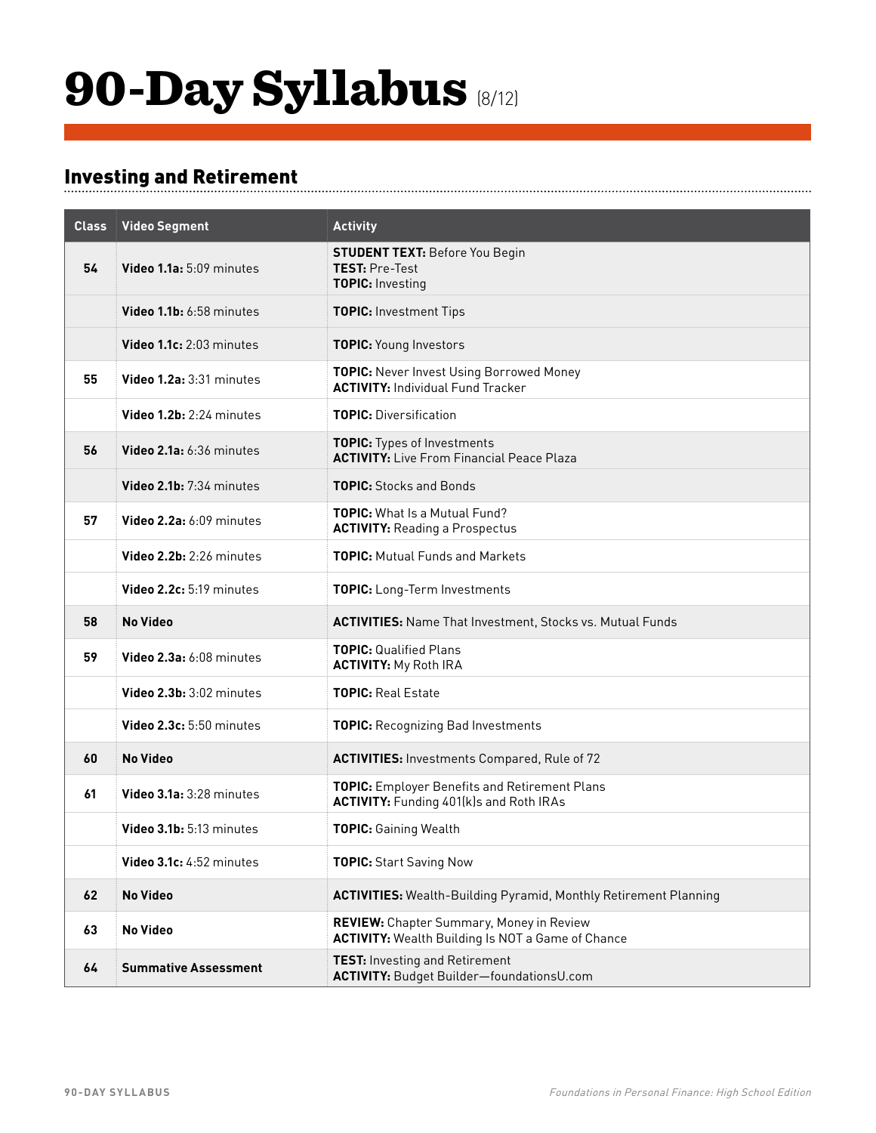## 90-Day Syllabus (8/12)

### Investing and Retirement

| <b>Class</b> | <b>Video Segment</b>        | <b>Activity</b>                                                                                             |
|--------------|-----------------------------|-------------------------------------------------------------------------------------------------------------|
| 54           | Video 1.1a: 5:09 minutes    | <b>STUDENT TEXT: Before You Begin</b><br>TEST: Pre-Test<br><b>TOPIC: Investing</b>                          |
|              | Video 1.1b: 6:58 minutes    | <b>TOPIC: Investment Tips</b>                                                                               |
|              | Video 1.1c: 2:03 minutes    | TOPIC: Young Investors                                                                                      |
| 55           | Video 1.2a: 3:31 minutes    | <b>TOPIC:</b> Never Invest Using Borrowed Money<br><b>ACTIVITY: Individual Fund Tracker</b>                 |
|              | Video 1.2b: 2:24 minutes    | <b>TOPIC: Diversification</b>                                                                               |
| 56           | Video 2.1a: 6:36 minutes    | <b>TOPIC:</b> Types of Investments<br><b>ACTIVITY: Live From Financial Peace Plaza</b>                      |
|              | Video 2.1b: 7:34 minutes    | <b>TOPIC:</b> Stocks and Bonds                                                                              |
| 57           | Video 2.2a: 6:09 minutes    | <b>TOPIC:</b> What Is a Mutual Fund?<br><b>ACTIVITY: Reading a Prospectus</b>                               |
|              | Video 2.2b: 2:26 minutes    | <b>TOPIC:</b> Mutual Funds and Markets                                                                      |
|              | Video 2.2c: 5:19 minutes    | TOPIC: Long-Term Investments                                                                                |
| 58           | <b>No Video</b>             | <b>ACTIVITIES:</b> Name That Investment, Stocks vs. Mutual Funds                                            |
| 59           | Video 2.3a: 6:08 minutes    | <b>TOPIC: Qualified Plans</b><br><b>ACTIVITY: My Roth IRA</b>                                               |
|              | Video 2.3b: 3:02 minutes    | <b>TOPIC: Real Estate</b>                                                                                   |
|              | Video 2.3c: 5:50 minutes    | <b>TOPIC:</b> Recognizing Bad Investments                                                                   |
| 60           | <b>No Video</b>             | <b>ACTIVITIES: Investments Compared, Rule of 72</b>                                                         |
| 61           | Video 3.1a: 3:28 minutes    | TOPIC: Employer Benefits and Retirement Plans<br><b>ACTIVITY: Funding 401(k)s and Roth IRAs</b>             |
|              | Video 3.1b: 5:13 minutes    | <b>TOPIC: Gaining Wealth</b>                                                                                |
|              | Video 3.1c: 4:52 minutes    | <b>TOPIC:</b> Start Saving Now                                                                              |
| 62           | <b>No Video</b>             | <b>ACTIVITIES:</b> Wealth-Building Pyramid, Monthly Retirement Planning                                     |
| 63           | <b>No Video</b>             | <b>REVIEW:</b> Chapter Summary, Money in Review<br><b>ACTIVITY:</b> Wealth Building Is NOT a Game of Chance |
| 64           | <b>Summative Assessment</b> | <b>TEST:</b> Investing and Retirement<br>ACTIVITY: Budget Builder-foundationsU.com                          |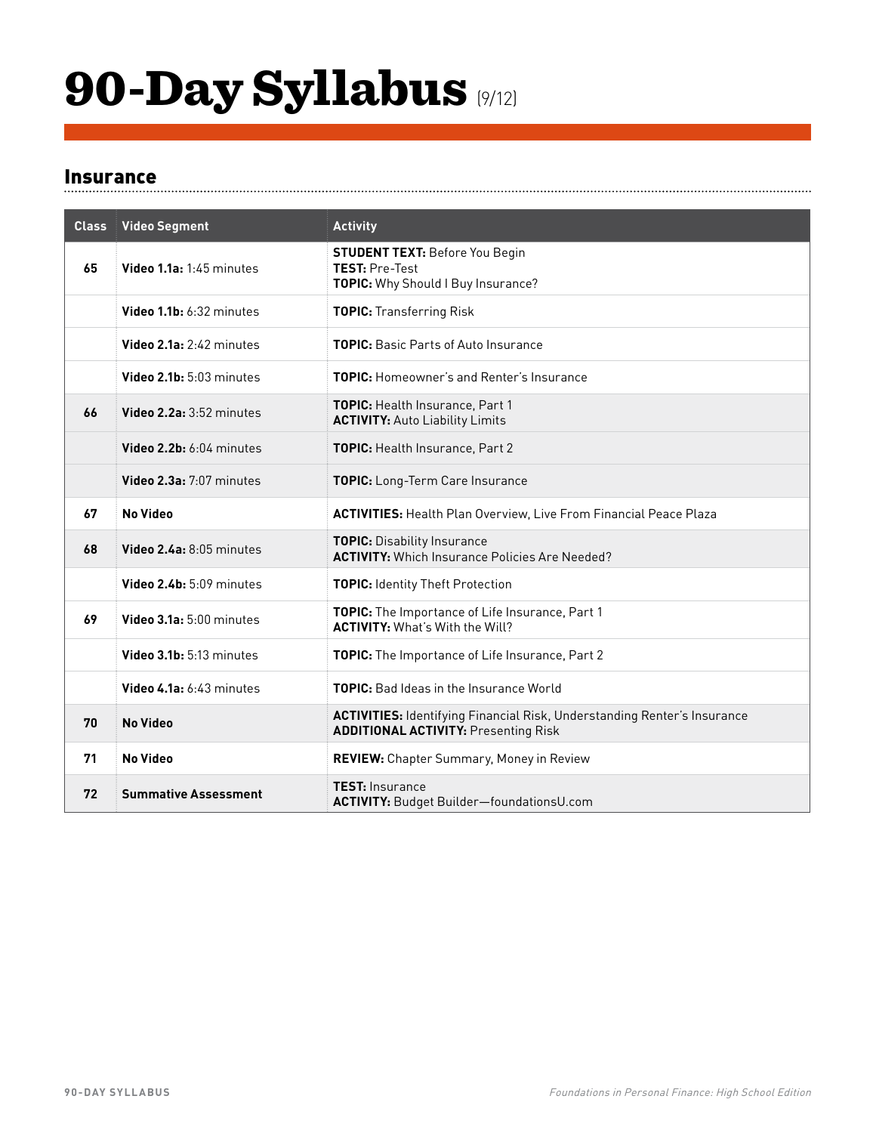## 90-Day Syllabus (9/12)

#### Insurance

| <b>Class</b> | <b>Video Segment</b>        | <b>Activity</b>                                                                                                                |
|--------------|-----------------------------|--------------------------------------------------------------------------------------------------------------------------------|
| 65           | Video 1.1a: 1:45 minutes    | <b>STUDENT TEXT: Before You Begin</b><br><b>TEST: Pre-Test</b><br>TOPIC: Why Should I Buy Insurance?                           |
|              | Video 1.1b: 6:32 minutes    | <b>TOPIC: Transferring Risk</b>                                                                                                |
|              | Video 2.1a: 2:42 minutes    | <b>TOPIC:</b> Basic Parts of Auto Insurance                                                                                    |
|              | Video 2.1b: 5:03 minutes    | <b>TOPIC:</b> Homeowner's and Renter's Insurance                                                                               |
| 66           | Video 2.2a: 3:52 minutes    | <b>TOPIC:</b> Health Insurance, Part 1<br><b>ACTIVITY: Auto Liability Limits</b>                                               |
|              | Video 2.2b: 6:04 minutes    | <b>TOPIC:</b> Health Insurance, Part 2                                                                                         |
|              | Video 2.3a: 7:07 minutes    | TOPIC: Long-Term Care Insurance                                                                                                |
| 67           | <b>No Video</b>             | <b>ACTIVITIES:</b> Health Plan Overview, Live From Financial Peace Plaza                                                       |
| 68           | Video 2.4a: 8:05 minutes    | <b>TOPIC: Disability Insurance</b><br><b>ACTIVITY:</b> Which Insurance Policies Are Needed?                                    |
|              | Video 2.4b: 5:09 minutes    | <b>TOPIC: Identity Theft Protection</b>                                                                                        |
| 69           | Video 3.1a: 5:00 minutes    | TOPIC: The Importance of Life Insurance, Part 1<br><b>ACTIVITY: What's With the Will?</b>                                      |
|              | Video 3.1b: 5:13 minutes    | TOPIC: The Importance of Life Insurance, Part 2                                                                                |
|              | Video 4.1a: 6:43 minutes    | TOPIC: Bad Ideas in the Insurance World                                                                                        |
| 70           | <b>No Video</b>             | <b>ACTIVITIES: Identifying Financial Risk, Understanding Renter's Insurance</b><br><b>ADDITIONAL ACTIVITY: Presenting Risk</b> |
| 71           | <b>No Video</b>             | REVIEW: Chapter Summary, Money in Review                                                                                       |
| 72           | <b>Summative Assessment</b> | <b>TEST: Insurance</b><br><b>ACTIVITY: Budget Builder-foundationsU.com</b>                                                     |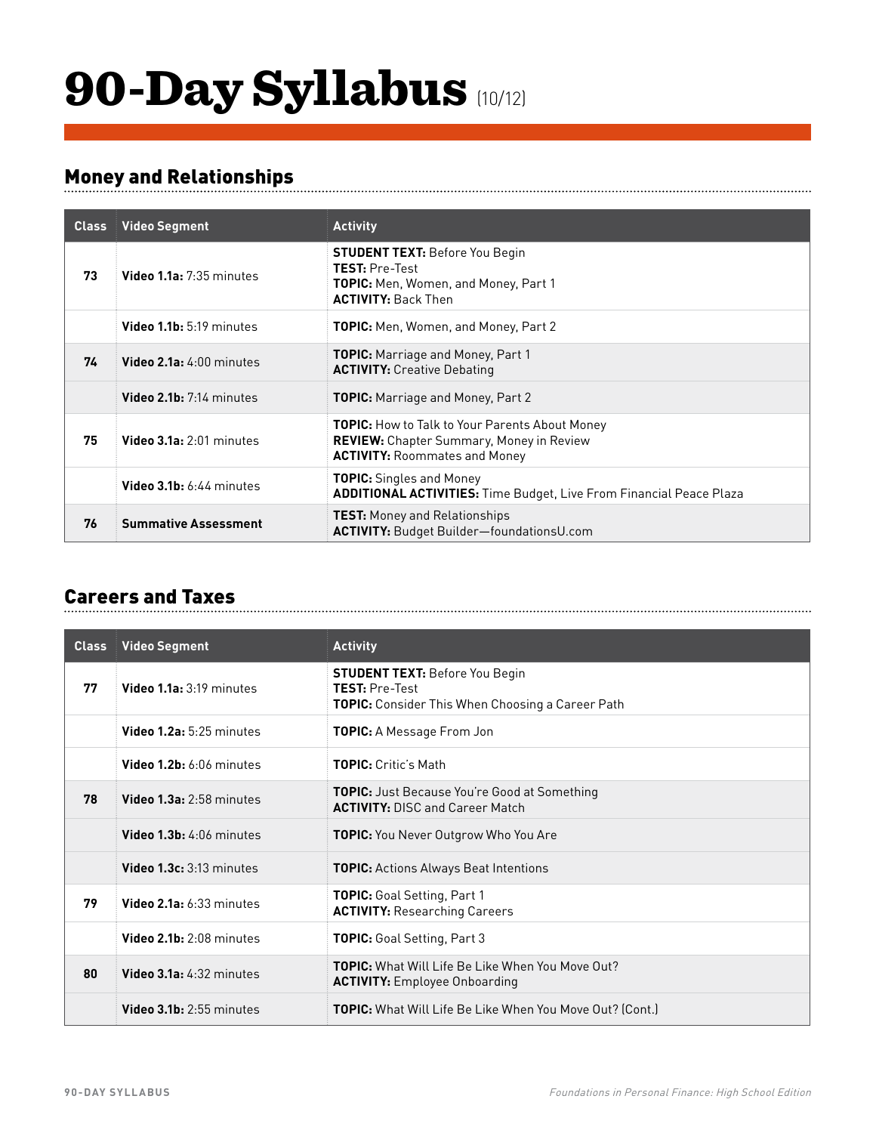## 90-Day Syllabus (10/12)

### Money and Relationships

| <b>Class</b> | <b>Video Segment</b>        | <b>Activity</b>                                                                                                                                  |
|--------------|-----------------------------|--------------------------------------------------------------------------------------------------------------------------------------------------|
| 73           | Video 1.1a: 7:35 minutes    | <b>STUDENT TEXT: Before You Begin</b><br><b>TEST: Pre-Test</b><br><b>TOPIC:</b> Men, Women, and Money, Part 1<br><b>ACTIVITY: Back Then</b>      |
|              | Video 1.1b: 5:19 minutes    | <b>TOPIC:</b> Men, Women, and Money, Part 2                                                                                                      |
| 74           | Video 2.1a: 4:00 minutes    | <b>TOPIC:</b> Marriage and Money, Part 1<br><b>ACTIVITY: Creative Debating</b>                                                                   |
|              | Video 2.1b: 7:14 minutes    | <b>TOPIC:</b> Marriage and Money, Part 2                                                                                                         |
| 75           | Video 3.1a: 2:01 minutes    | <b>TOPIC:</b> How to Talk to Your Parents About Money<br><b>REVIEW:</b> Chapter Summary, Money in Review<br><b>ACTIVITY: Roommates and Money</b> |
|              | Video $3.1b: 6:44$ minutes  | <b>TOPIC:</b> Singles and Money<br><b>ADDITIONAL ACTIVITIES:</b> Time Budget, Live From Financial Peace Plaza                                    |
| 76           | <b>Summative Assessment</b> | <b>TEST:</b> Money and Relationships<br><b>ACTIVITY: Budget Builder-foundationsU.com</b>                                                         |

#### Careers and Taxes

| <b>Class</b> | <b>Video Segment</b>              | <b>Activity</b>                                                                                                           |
|--------------|-----------------------------------|---------------------------------------------------------------------------------------------------------------------------|
| 77           | Video 1.1a: 3:19 minutes          | <b>STUDENT TEXT: Before You Begin</b><br><b>TEST: Pre-Test</b><br><b>TOPIC:</b> Consider This When Choosing a Career Path |
|              | Video 1.2a: 5:25 minutes          | <b>TOPIC:</b> A Message From Jon                                                                                          |
|              | Video 1.2b: 6:06 minutes          | <b>TOPIC:</b> Critic's Math                                                                                               |
| 78           | Video 1.3a: 2:58 minutes          | <b>TOPIC:</b> Just Because You're Good at Something<br><b>ACTIVITY: DISC and Career Match</b>                             |
|              | Video 1.3b: 4:06 minutes          | <b>TOPIC:</b> You Never Outgrow Who You Are                                                                               |
|              | Video 1.3c: 3:13 minutes          | <b>TOPIC:</b> Actions Always Beat Intentions                                                                              |
| 79           | Video $2.1a: 6:33$ minutes        | TOPIC: Goal Setting, Part 1<br><b>ACTIVITY: Researching Careers</b>                                                       |
|              | Video 2.1b: 2:08 minutes          | <b>TOPIC:</b> Goal Setting, Part 3                                                                                        |
| 80           | <b>Video 3.1a:</b> $4:32$ minutes | <b>TOPIC:</b> What Will Life Be Like When You Move Out?<br><b>ACTIVITY:</b> Employee Onboarding                           |
|              | Video 3.1b: 2:55 minutes          | <b>TOPIC:</b> What Will Life Be Like When You Move Out? (Cont.)                                                           |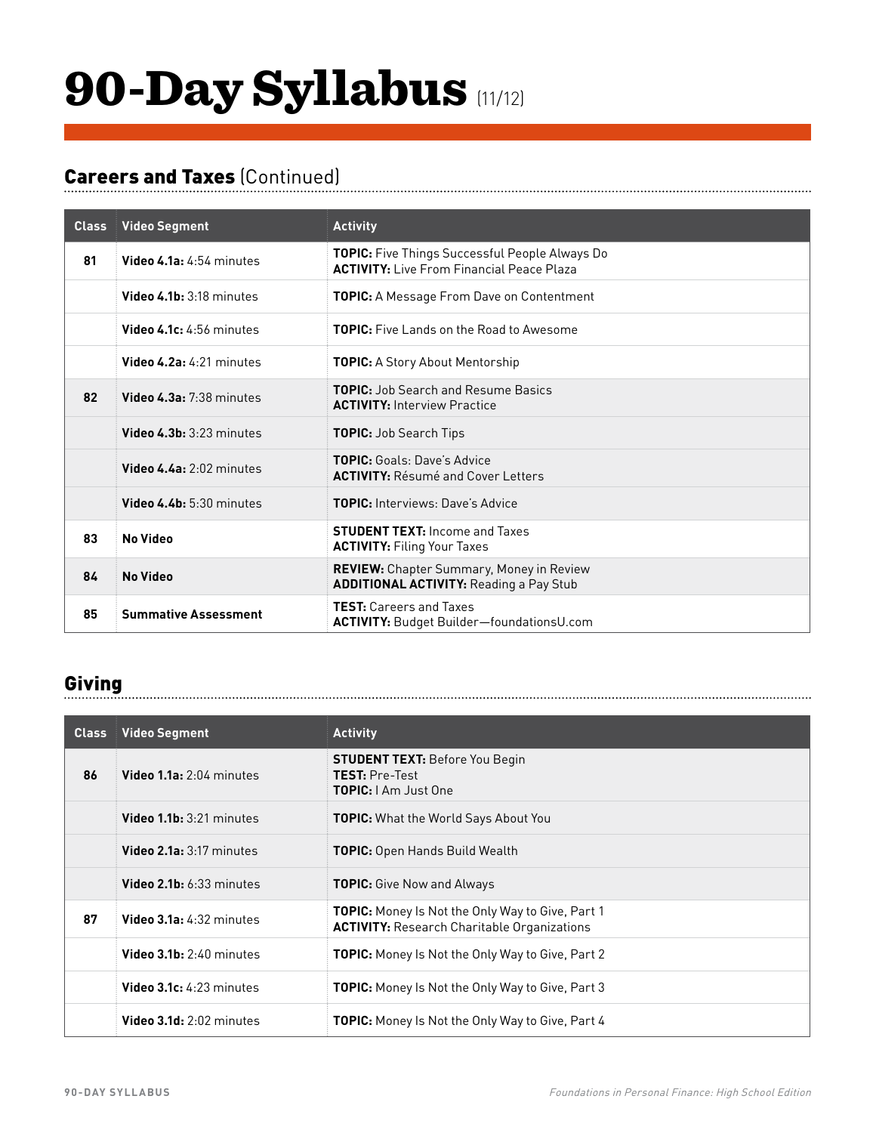# 90-Day Syllabus (11/12)

### Careers and Taxes (Continued)

| <b>Class</b> | <b>Video Segment</b>        | <b>Activity</b>                                                                                           |
|--------------|-----------------------------|-----------------------------------------------------------------------------------------------------------|
| 81           | Video 4.1a: 4:54 minutes    | <b>TOPIC:</b> Five Things Successful People Always Do<br><b>ACTIVITY:</b> Live From Financial Peace Plaza |
|              | Video 4.1b: 3:18 minutes    | <b>TOPIC:</b> A Message From Dave on Contentment                                                          |
|              | Video 4.1c: 4:56 minutes    | <b>TOPIC:</b> Five Lands on the Road to Awesome                                                           |
|              | Video 4.2a: $4:21$ minutes  | <b>TOPIC:</b> A Story About Mentorship                                                                    |
| 82           | Video 4.3a: 7:38 minutes    | <b>TOPIC:</b> Job Search and Resume Basics<br><b>ACTIVITY: Interview Practice</b>                         |
|              | Video $4.3b:3:23$ minutes   | <b>TOPIC:</b> Job Search Tips                                                                             |
|              | Video 4.4a: 2:02 minutes    | <b>TOPIC:</b> Goals: Dave's Advice<br><b>ACTIVITY: Résumé and Cover Letters</b>                           |
|              | Video 4.4b: 5:30 minutes    | <b>TOPIC:</b> Interviews: Dave's Advice                                                                   |
| 83           | <b>No Video</b>             | <b>STUDENT TEXT: Income and Taxes</b><br><b>ACTIVITY: Filing Your Taxes</b>                               |
| 84           | <b>No Video</b>             | <b>REVIEW:</b> Chapter Summary, Money in Review<br><b>ADDITIONAL ACTIVITY: Reading a Pay Stub</b>         |
| 85           | <b>Summative Assessment</b> | <b>TEST:</b> Careers and Taxes<br>ACTIVITY: Budget Builder-foundationsU.com                               |

### Giving

| <b>Class</b> | <b>Video Segment</b>              | <b>Activity</b>                                                                                               |
|--------------|-----------------------------------|---------------------------------------------------------------------------------------------------------------|
| 86           | Video 1.1a: 2:04 minutes          | <b>STUDENT TEXT:</b> Before You Begin<br><b>TEST: Pre-Test</b><br><b>TOPIC:</b> I Am Just One                 |
|              | Video $1.1b: 3:21$ minutes        | <b>TOPIC:</b> What the World Says About You                                                                   |
|              | Video 2.1a: 3:17 minutes          | <b>TOPIC:</b> Open Hands Build Wealth                                                                         |
|              | <b>Video 2.1b:</b> $6:33$ minutes | <b>TOPIC:</b> Give Now and Always                                                                             |
| 87           | Video 3.1a: 4:32 minutes          | <b>TOPIC:</b> Money Is Not the Only Way to Give, Part 1<br><b>ACTIVITY:</b> Research Charitable Organizations |
|              | Video 3.1b: 2:40 minutes          | <b>TOPIC:</b> Money Is Not the Only Way to Give, Part 2                                                       |
|              | <b>Video 3.1c:</b> $4:23$ minutes | <b>TOPIC:</b> Money Is Not the Only Way to Give, Part 3                                                       |
|              | Video $3.1d: 2:02$ minutes        | <b>TOPIC:</b> Money Is Not the Only Way to Give, Part 4                                                       |